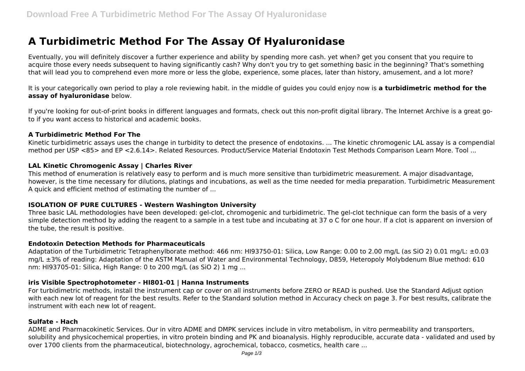# **A Turbidimetric Method For The Assay Of Hyaluronidase**

Eventually, you will definitely discover a further experience and ability by spending more cash. yet when? get you consent that you require to acquire those every needs subsequent to having significantly cash? Why don't you try to get something basic in the beginning? That's something that will lead you to comprehend even more more or less the globe, experience, some places, later than history, amusement, and a lot more?

It is your categorically own period to play a role reviewing habit. in the middle of guides you could enjoy now is **a turbidimetric method for the assay of hyaluronidase** below.

If you're looking for out-of-print books in different languages and formats, check out this non-profit digital library. The Internet Archive is a great goto if you want access to historical and academic books.

#### **A Turbidimetric Method For The**

Kinetic turbidimetric assays uses the change in turbidity to detect the presence of endotoxins. ... The kinetic chromogenic LAL assay is a compendial method per USP <85> and EP <2.6.14>. Related Resources. Product/Service Material Endotoxin Test Methods Comparison Learn More. Tool ...

## **LAL Kinetic Chromogenic Assay | Charles River**

This method of enumeration is relatively easy to perform and is much more sensitive than turbidimetric measurement. A major disadvantage, however, is the time necessary for dilutions, platings and incubations, as well as the time needed for media preparation. Turbidimetric Measurement A quick and efficient method of estimating the number of ...

## **ISOLATION OF PURE CULTURES - Western Washington University**

Three basic LAL methodologies have been developed: gel-clot, chromogenic and turbidimetric. The gel-clot technique can form the basis of a very simple detection method by adding the reagent to a sample in a test tube and incubating at 37 o C for one hour. If a clot is apparent on inversion of the tube, the result is positive.

#### **Endotoxin Detection Methods for Pharmaceuticals**

Adaptation of the Turbidimetric Tetraphenylborate method: 466 nm: HI93750-01: Silica, Low Range: 0.00 to 2.00 mg/L (as SiO 2) 0.01 mg/L: ±0.03 mg/L ±3% of reading: Adaptation of the ASTM Manual of Water and Environmental Technology, D859, Heteropoly Molybdenum Blue method: 610 nm: HI93705-01: Silica, High Range: 0 to 200 mg/L (as SiO 2) 1 mg ...

#### **iris Visible Spectrophotometer - HI801-01 | Hanna Instruments**

For turbidimetric methods, install the instrument cap or cover on all instruments before ZERO or READ is pushed. Use the Standard Adjust option with each new lot of reagent for the best results. Refer to the Standard solution method in Accuracy check on page 3. For best results, calibrate the instrument with each new lot of reagent.

#### **Sulfate - Hach**

ADME and Pharmacokinetic Services. Our in vitro ADME and DMPK services include in vitro metabolism, in vitro permeability and transporters, solubility and physicochemical properties, in vitro protein binding and PK and bioanalysis. Highly reproducible, accurate data - validated and used by over 1700 clients from the pharmaceutical, biotechnology, agrochemical, tobacco, cosmetics, health care ...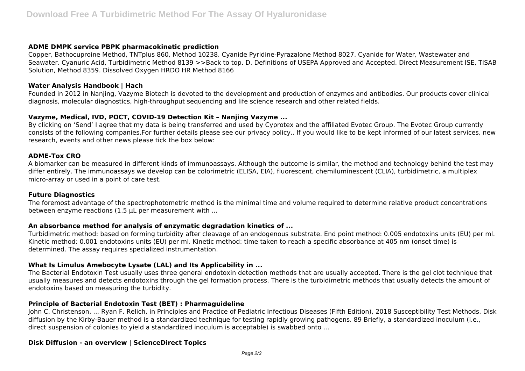#### **ADME DMPK service PBPK pharmacokinetic prediction**

Copper, Bathocuproine Method, TNTplus 860, Method 10238. Cyanide Pyridine-Pyrazalone Method 8027. Cyanide for Water, Wastewater and Seawater. Cyanuric Acid, Turbidimetric Method 8139 >>Back to top. D. Definitions of USEPA Approved and Accepted. Direct Measurement ISE, TISAB Solution, Method 8359. Dissolved Oxygen HRDO HR Method 8166

#### **Water Analysis Handbook | Hach**

Founded in 2012 in Nanjing, Vazyme Biotech is devoted to the development and production of enzymes and antibodies. Our products cover clinical diagnosis, molecular diagnostics, high-throughput sequencing and life science research and other related fields.

#### **Vazyme, Medical, IVD, POCT, COVID-19 Detection Kit – Nanjing Vazyme ...**

By clicking on 'Send' I agree that my data is being transferred and used by Cyprotex and the affiliated Evotec Group. The Evotec Group currently consists of the following companies.For further details please see our privacy policy.. If you would like to be kept informed of our latest services, new research, events and other news please tick the box below:

#### **ADME-Tox CRO**

A biomarker can be measured in different kinds of immunoassays. Although the outcome is similar, the method and technology behind the test may differ entirely. The immunoassays we develop can be colorimetric (ELISA, EIA), fluorescent, chemiluminescent (CLIA), turbidimetric, a multiplex micro-array or used in a point of care test.

#### **Future Diagnostics**

The foremost advantage of the spectrophotometric method is the minimal time and volume required to determine relative product concentrations between enzyme reactions (1.5 µL per measurement with ...

#### **An absorbance method for analysis of enzymatic degradation kinetics of ...**

Turbidimetric method: based on forming turbidity after cleavage of an endogenous substrate. End point method: 0.005 endotoxins units (EU) per ml. Kinetic method: 0.001 endotoxins units (EU) per ml. Kinetic method: time taken to reach a specific absorbance at 405 nm (onset time) is determined. The assay requires specialized instrumentation.

## **What Is Limulus Amebocyte Lysate (LAL) and Its Applicability in ...**

The Bacterial Endotoxin Test usually uses three general endotoxin detection methods that are usually accepted. There is the gel clot technique that usually measures and detects endotoxins through the gel formation process. There is the turbidimetric methods that usually detects the amount of endotoxins based on measuring the turbidity.

#### **Principle of Bacterial Endotoxin Test (BET) : Pharmaguideline**

John C. Christenson, ... Ryan F. Relich, in Principles and Practice of Pediatric Infectious Diseases (Fifth Edition), 2018 Susceptibility Test Methods. Disk diffusion by the Kirby-Bauer method is a standardized technique for testing rapidly growing pathogens. 89 Briefly, a standardized inoculum (i.e., direct suspension of colonies to yield a standardized inoculum is acceptable) is swabbed onto ...

#### **Disk Diffusion - an overview | ScienceDirect Topics**